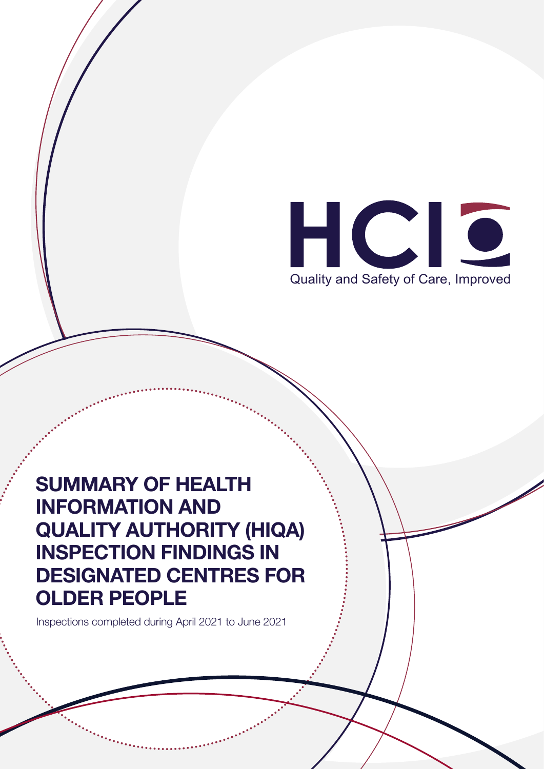HCIO Quality and Safety of Care, Improved

# SUMMARY OF HEALTH INFORMATION AND QUALITY AUTHORITY (HIQA) INSPECTION FINDINGS IN DESIGNATED CENTRES FOR OLDER PEOPLE

Inspections completed during April 2021 to June 2021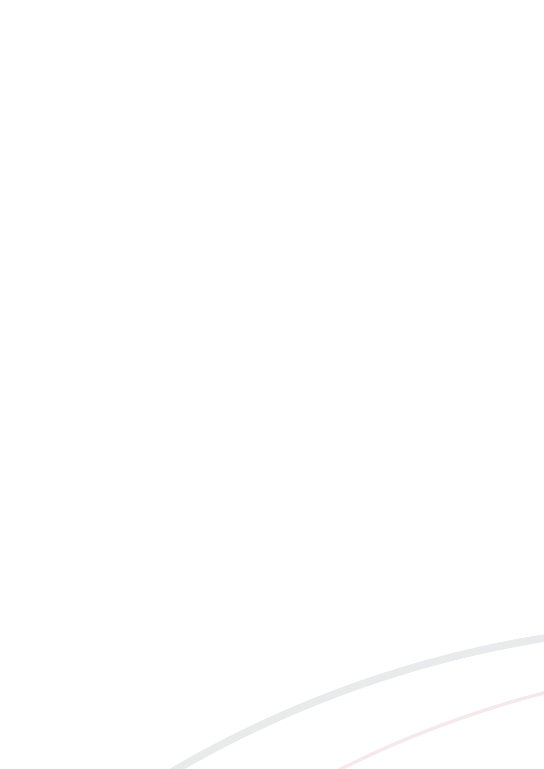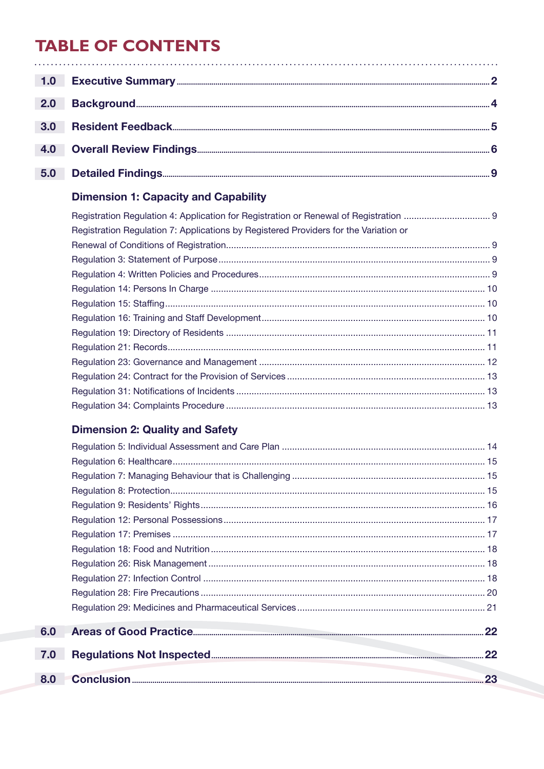# **TABLE OF CONTENTS**

| 2.0 |  |
|-----|--|
| 3.0 |  |
|     |  |
|     |  |
| 5.0 |  |

#### **Dimension 1: Capacity and Capability**

| Registration Regulation 7: Applications by Registered Providers for the Variation or |  |
|--------------------------------------------------------------------------------------|--|
|                                                                                      |  |
|                                                                                      |  |
|                                                                                      |  |
|                                                                                      |  |
|                                                                                      |  |
|                                                                                      |  |
|                                                                                      |  |
|                                                                                      |  |
|                                                                                      |  |
|                                                                                      |  |
|                                                                                      |  |
|                                                                                      |  |
|                                                                                      |  |

#### **Dimension 2: Quality and Safety**

| 6.0 |    |
|-----|----|
| 7.0 |    |
| 8.0 | 23 |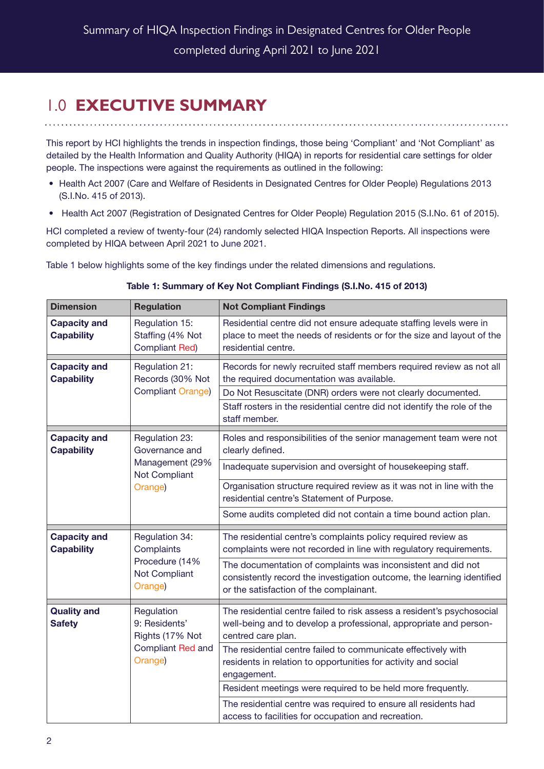# 1.0 **EXECUTIVE SUMMARY**

This report by HCI highlights the trends in inspection findings, those being 'Compliant' and 'Not Compliant' as detailed by the Health Information and Quality Authority (HIQA) in reports for residential care settings for older people. The inspections were against the requirements as outlined in the following:

- Health Act 2007 (Care and Welfare of Residents in Designated Centres for Older People) Regulations 2013 (S.I.No. 415 of 2013).
- Health Act 2007 (Registration of Designated Centres for Older People) Regulation 2015 (S.I.No. 61 of 2015).

HCI completed a review of twenty-four (24) randomly selected HIQA Inspection Reports. All inspections were completed by HIQA between April 2021 to June 2021.

Table 1 below highlights some of the key findings under the related dimensions and regulations.

| <b>Dimension</b><br><b>Regulation</b><br><b>Not Compliant Findings</b> |                                                                                |                                                                                                                                                                                                                                                                                                                                                                                                                                                                                                              |
|------------------------------------------------------------------------|--------------------------------------------------------------------------------|--------------------------------------------------------------------------------------------------------------------------------------------------------------------------------------------------------------------------------------------------------------------------------------------------------------------------------------------------------------------------------------------------------------------------------------------------------------------------------------------------------------|
| <b>Capacity and</b><br><b>Capability</b>                               | Regulation 15:<br>Staffing (4% Not<br>Compliant Red)                           | Residential centre did not ensure adequate staffing levels were in<br>place to meet the needs of residents or for the size and layout of the<br>residential centre.                                                                                                                                                                                                                                                                                                                                          |
| <b>Capacity and</b><br><b>Capability</b>                               | Regulation 21:<br>Records (30% Not<br><b>Compliant Orange)</b>                 | Records for newly recruited staff members required review as not all<br>the required documentation was available.<br>Do Not Resuscitate (DNR) orders were not clearly documented.<br>Staff rosters in the residential centre did not identify the role of the<br>staff member.                                                                                                                                                                                                                               |
| <b>Capacity and</b><br><b>Capability</b>                               | Regulation 23:<br>Governance and<br>Management (29%<br>Not Compliant           | Roles and responsibilities of the senior management team were not<br>clearly defined.<br>Inadequate supervision and oversight of housekeeping staff.                                                                                                                                                                                                                                                                                                                                                         |
|                                                                        | Orange)                                                                        | Organisation structure required review as it was not in line with the<br>residential centre's Statement of Purpose.<br>Some audits completed did not contain a time bound action plan.                                                                                                                                                                                                                                                                                                                       |
| <b>Capacity and</b><br><b>Capability</b>                               | Regulation 34:<br>Complaints<br>Procedure (14%<br>Not Compliant<br>Orange)     | The residential centre's complaints policy required review as<br>complaints were not recorded in line with regulatory requirements.<br>The documentation of complaints was inconsistent and did not<br>consistently record the investigation outcome, the learning identified<br>or the satisfaction of the complainant.                                                                                                                                                                                     |
| <b>Quality and</b><br><b>Safety</b>                                    | Regulation<br>9: Residents'<br>Rights (17% Not<br>Compliant Red and<br>Orange) | The residential centre failed to risk assess a resident's psychosocial<br>well-being and to develop a professional, appropriate and person-<br>centred care plan.<br>The residential centre failed to communicate effectively with<br>residents in relation to opportunities for activity and social<br>engagement.<br>Resident meetings were required to be held more frequently.<br>The residential centre was required to ensure all residents had<br>access to facilities for occupation and recreation. |

#### Table 1: Summary of Key Not Compliant Findings (S.I.No. 415 of 2013)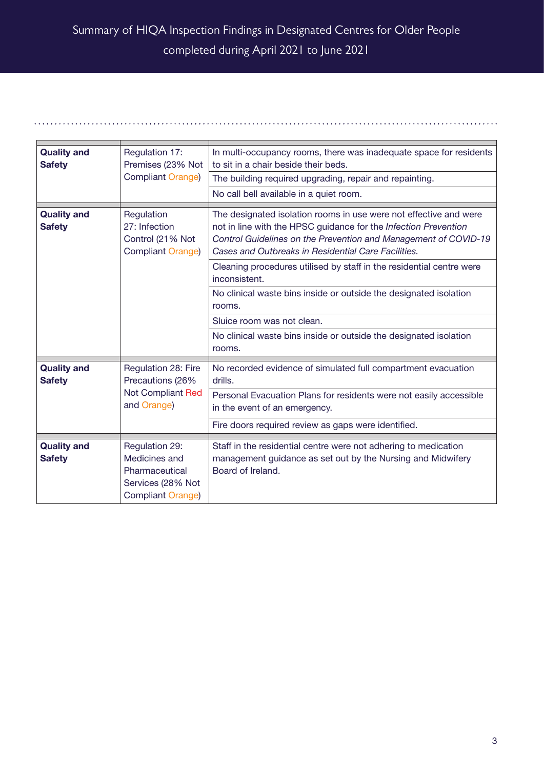| <b>Quality and</b><br><b>Safety</b> | Regulation 17:<br>Premises (23% Not<br><b>Compliant Orange)</b>                                    | In multi-occupancy rooms, there was inadequate space for residents<br>to sit in a chair beside their beds.<br>The building required upgrading, repair and repainting.<br>No call bell available in a quiet room.                                                                                                                                                                                                                                                                                                                                    |
|-------------------------------------|----------------------------------------------------------------------------------------------------|-----------------------------------------------------------------------------------------------------------------------------------------------------------------------------------------------------------------------------------------------------------------------------------------------------------------------------------------------------------------------------------------------------------------------------------------------------------------------------------------------------------------------------------------------------|
| <b>Quality and</b><br><b>Safety</b> | Regulation<br>27: Infection<br>Control (21% Not<br><b>Compliant Orange)</b>                        | The designated isolation rooms in use were not effective and were<br>not in line with the HPSC guidance for the Infection Prevention<br>Control Guidelines on the Prevention and Management of COVID-19<br>Cases and Outbreaks in Residential Care Facilities.<br>Cleaning procedures utilised by staff in the residential centre were<br>inconsistent.<br>No clinical waste bins inside or outside the designated isolation<br>rooms.<br>Sluice room was not clean.<br>No clinical waste bins inside or outside the designated isolation<br>rooms. |
| <b>Quality and</b><br><b>Safety</b> | Regulation 28: Fire<br>Precautions (26%<br>Not Compliant Red<br>and Orange)                        | No recorded evidence of simulated full compartment evacuation<br>drills.<br>Personal Evacuation Plans for residents were not easily accessible<br>in the event of an emergency.<br>Fire doors required review as gaps were identified.                                                                                                                                                                                                                                                                                                              |
| <b>Quality and</b><br><b>Safety</b> | Regulation 29:<br>Medicines and<br>Pharmaceutical<br>Services (28% Not<br><b>Compliant Orange)</b> | Staff in the residential centre were not adhering to medication<br>management guidance as set out by the Nursing and Midwifery<br>Board of Ireland.                                                                                                                                                                                                                                                                                                                                                                                                 |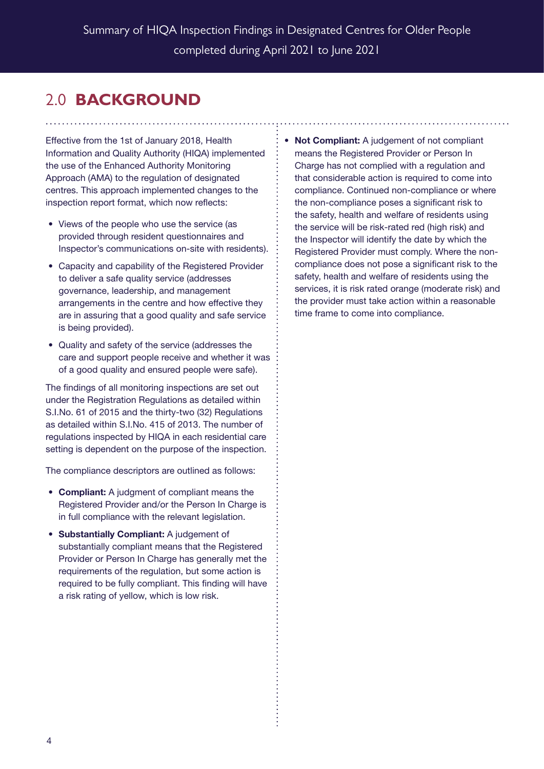# 2.0 **BACKGROUND**

Effective from the 1st of January 2018, Health Information and Quality Authority (HIQA) implemented the use of the Enhanced Authority Monitoring Approach (AMA) to the regulation of designated centres. This approach implemented changes to the inspection report format, which now reflects:

- Views of the people who use the service (as provided through resident questionnaires and Inspector's communications on-site with residents).
- Capacity and capability of the Registered Provider to deliver a safe quality service (addresses governance, leadership, and management arrangements in the centre and how effective they are in assuring that a good quality and safe service is being provided).
- Quality and safety of the service (addresses the care and support people receive and whether it was of a good quality and ensured people were safe).

The findings of all monitoring inspections are set out under the Registration Regulations as detailed within S.I.No. 61 of 2015 and the thirty-two (32) Regulations as detailed within S.I.No. 415 of 2013. The number of regulations inspected by HIQA in each residential care setting is dependent on the purpose of the inspection.

The compliance descriptors are outlined as follows:

- Compliant: A judgment of compliant means the Registered Provider and/or the Person In Charge is in full compliance with the relevant legislation.
- Substantially Compliant: A judgement of substantially compliant means that the Registered Provider or Person In Charge has generally met the requirements of the regulation, but some action is required to be fully compliant. This finding will have a risk rating of yellow, which is low risk.

• Not Compliant: A judgement of not compliant means the Registered Provider or Person In Charge has not complied with a regulation and that considerable action is required to come into compliance. Continued non-compliance or where the non-compliance poses a significant risk to the safety, health and welfare of residents using the service will be risk-rated red (high risk) and the Inspector will identify the date by which the Registered Provider must comply. Where the noncompliance does not pose a significant risk to the safety, health and welfare of residents using the services, it is risk rated orange (moderate risk) and the provider must take action within a reasonable time frame to come into compliance.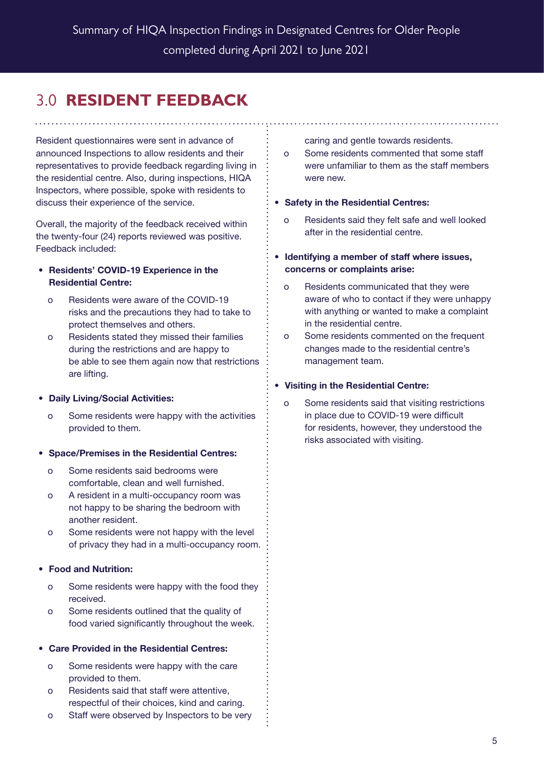# 3.0 **RESIDENT FEEDBACK**

Resident questionnaires were sent in advance of announced Inspections to allow residents and their representatives to provide feedback regarding living in the residential centre. Also, during inspections, HIQA Inspectors, where possible, spoke with residents to discuss their experience of the service.

Overall, the majority of the feedback received within the twenty-four (24) reports reviewed was positive. Feedback included:

#### • Residents' COVID-19 Experience in the Residential Centre:

- o Residents were aware of the COVID-19 risks and the precautions they had to take to protect themselves and others.
- o Residents stated they missed their families during the restrictions and are happy to be able to see them again now that restrictions are lifting.

#### • Daily Living/Social Activities:

o Some residents were happy with the activities provided to them.

#### • Space/Premises in the Residential Centres:

- o Some residents said bedrooms were comfortable, clean and well furnished.
- o A resident in a multi-occupancy room was not happy to be sharing the bedroom with another resident.
- o Some residents were not happy with the level of privacy they had in a multi-occupancy room.

#### • Food and Nutrition:

- o Some residents were happy with the food they received.
- o Some residents outlined that the quality of food varied significantly throughout the week.

#### • Care Provided in the Residential Centres:

- o Some residents were happy with the care provided to them.
- o Residents said that staff were attentive, respectful of their choices, kind and caring.
- o Staff were observed by Inspectors to be very

caring and gentle towards residents.

o Some residents commented that some staff were unfamiliar to them as the staff members were new.

#### • Safety in the Residential Centres:

o Residents said they felt safe and well looked after in the residential centre.

#### • Identifying a member of staff where issues, concerns or complaints arise:

- o Residents communicated that they were aware of who to contact if they were unhappy with anything or wanted to make a complaint in the residential centre.
- o Some residents commented on the frequent changes made to the residential centre's management team.

#### • Visiting in the Residential Centre:

o Some residents said that visiting restrictions in place due to COVID-19 were difficult for residents, however, they understood the risks associated with visiting.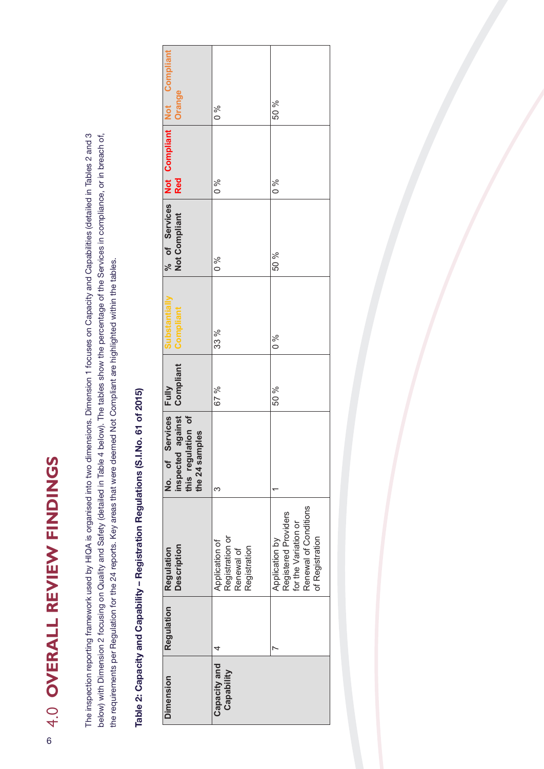# 4.0 **OVERALL REVIEW FINDINGS Summary of HIQA Inspection Findings in Designated Centres for Older People completed during April 2021 to June 2021**  $^{\circ}$  4.0 OVERALL REVIEW FINDINGS

he requirements per Requiation for the 24 reports. Key areas that were deemed Not Compliant are highlighted within the tables. The inspection reporting framework used by HIQA is organised into two dimensions. Dimension 1 focuses on Capacity and Capabilities (detailed in Tables 2 and 3 The inspection reporting framework used by HIQA is organised into two dimensions. Dimension 1 focuses on Capacity and Capabilities (detailed in Tables 2 and 3 below) with Dimension 2 focusing on Quality and Safety (detailed in Table 4 below). The tables show the percentage of the Services in compliance, or in breach of, below) with Dimension 2 focusing on Quality and Safety (detailed in Table 4 below). The tables show the percentage of the Services in compliance, or in breach of, the requirements per Regulation for the 24 reports. Key areas that were deemed Not Compliant are highlighted within the tables. **4.0 OVERALL REVIEW FINDINGS**

# breach of, the requirements per Regulation for the 24 reports. Key areas that were deemed Not Compliant are highlighted within the tables. Table 2: Capacity and Capability - Registration Regulations (S.I.No. 61 of 2015) Table 2: Capacity and Capability – Registration Regulations (S.I.No. 61 of 2015)

|                                                                     | 8<br>0 %                                                        | 50 %                                                                                                       |
|---------------------------------------------------------------------|-----------------------------------------------------------------|------------------------------------------------------------------------------------------------------------|
|                                                                     |                                                                 |                                                                                                            |
|                                                                     | 0%                                                              | $\frac{8}{9}$                                                                                              |
| % of Services Not Compliant Not Compliant<br>NotCompliant Red       | ა<br>0 %                                                        | 50 %                                                                                                       |
| substantially<br><b>Compliant</b>                                   | 33 %                                                            | ა<br>ბ                                                                                                     |
| Services Fully<br>against Compliant                                 | 67 %                                                            | 50 %                                                                                                       |
| inspected against<br>this regulation of<br>the 24 samples<br>No. of | ᡣ.                                                              |                                                                                                            |
| <b>Description</b><br>Regulation                                    | Registration or<br>Application of<br>Registration<br>Renewal of | Renewal of Conditions<br>Registered Providers<br>for the Variation or<br>of Registration<br>Application by |
| <b>Regulation</b>                                                   |                                                                 |                                                                                                            |
| <b>Dimension</b>                                                    | Capacity and<br>Capability                                      |                                                                                                            |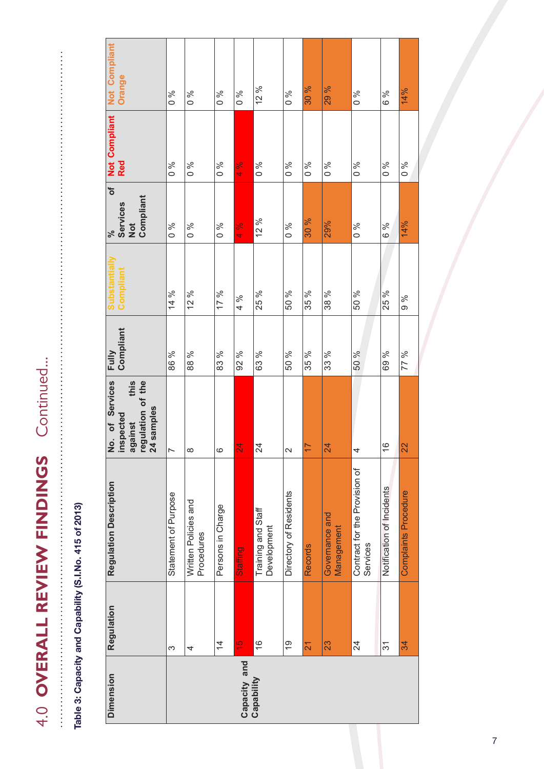4.0 OVERALL REVIEW FINDINGS Continued... 4.0 **OVERALL REVIEW FINDINGS** Continued...

Table 3: Capacity and Capability (S.I.No. 415 of 2013) Table 3: Capacity and Capability (S.I.No. 415 of 2013)

| <b>Dimension</b> | Regulation              | <b>Regulation Description</b>             | No. of Services<br>inspected<br>this<br>against<br>regulation of the<br>24 samples | Compliant<br>Fully | Substantially<br>Compliant | ð<br>Compliant<br>Services<br>Not<br>ೢೕ | Not Compliant<br>Red | Not Compliant<br>Orange |
|------------------|-------------------------|-------------------------------------------|------------------------------------------------------------------------------------|--------------------|----------------------------|-----------------------------------------|----------------------|-------------------------|
|                  | ო                       | Statement of Purpose                      | $\overline{ }$                                                                     | 86 %               | 14 %                       | $\%$ 0                                  | $\%$ 0               | $\frac{96}{6}$          |
|                  | 4                       | Written Policies and<br>Procedures        | ∞                                                                                  | 88 %               | 12%                        | $\frac{6}{6}$                           | $\%0$                | $\%$ 0                  |
|                  | $\overline{4}$          | Persons in Charge                         | O                                                                                  | 83 %               | $^{96}$ 11                 | $\frac{9}{6}$                           | $\frac{96}{6}$       | $\%$ 0                  |
| Capacity and     | $\frac{1}{2}$           | Staffing                                  | $\frac{1}{2}$                                                                      | ಸಿ<br>$\approx$    | 4%                         | $\frac{9}{6}$                           | $\aleph$<br>4        | $\%$ 0                  |
| Capability       | $\frac{6}{1}$           | Training and Staff<br>Development         | $\overline{2}$                                                                     | 63 %               | 25 %                       | 12%                                     | $\%$ 0               | 12 %                    |
|                  | $\frac{0}{2}$           | Directory of Residents                    | $\mathbf{\Omega}$                                                                  | 50 %               | 50 %                       | $\%$ 0                                  | $\frac{9}{6}$        | $\%$ 0                  |
|                  | $\overline{\mathbf{S}}$ | <b>Records</b>                            | $\overline{}$                                                                      | 35 %               | 35 %                       | 30 %                                    | $\frac{9}{6}$        | 30 %                    |
|                  | 23                      | Governance and<br>Management              | $\overline{24}$                                                                    | 33 %               | 38 %                       | 29%                                     | $\frac{96}{6}$       | %<br>29                 |
|                  | $\overline{2}$          | Contract for the Provision of<br>Services | 4                                                                                  | 50 %               | 50 %                       | $\frac{6}{6}$                           | $\frac{9}{6}$        | $\frac{96}{6}$          |
|                  | $\overline{5}$          | Notification of Incidents                 | $\frac{6}{5}$                                                                      | 69 %               | 25 %                       | 6%                                      | $\frac{9}{6}$        | 6%                      |
|                  | 34                      | Complaints Procedure                      | 22                                                                                 | 77 %               | )<br>၁<br>၈                | 14%                                     | $\%$ 0               | 14%                     |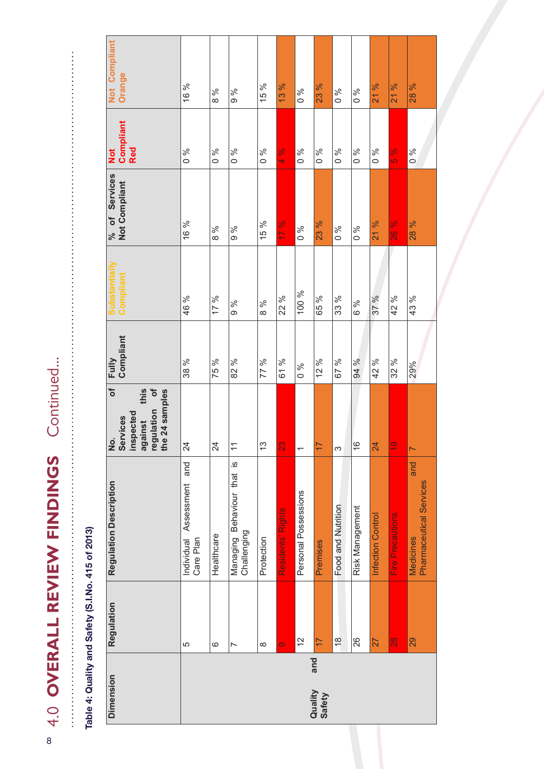4.0 **OVERALL REVIEW FINDINGS** Continued... **Summary of HIQA Inspection Findings in Designated Centres for Older People completed during April 2021 to June 2021** <sup>®</sup> 4.0 OVERALL REVIEW FINDINGS Continued... # Table 4: Quality and Safety (S.I.No. 415 of 2013) Table 4: Quality and Safety (S.I.No. 415 of 2013)

. . . . . . . . . . . . . . .

| Food and Nutrition<br>Risk Management<br>Residents' Rights<br>Challenging<br>Healthcare<br>Managing<br>Protection<br>Care Plan<br>Individual<br>Premises<br>Regulation | 82 %<br>75 %<br><b>Vo 22</b><br>38 %<br>61%<br>12%<br>67 %<br>94 %<br>$\%0$<br>No.<br>Services<br>inspected<br>inspected<br>against this<br>regulation of<br>the 24 samples<br>24<br>S<br>စ<br>$^{24}$<br>$\frac{3}{2}$<br>$\tilde{\mathcal{L}}$<br>$\overline{\phantom{0}}$<br>S<br>$\overline{\phantom{0}}$<br>$\overline{\phantom{0}}$<br>$\overline{}$<br>Behaviour that is<br>and<br>Regulation Description<br>Assessment<br>Personal Possessions | 9 %<br>6 %<br>$9\%$<br>Fully<br>Compliant | Substantially<br>Compliant<br>100 %<br>$^{96}$ 11<br>22 %<br>65 %<br>46 %<br>33 % | % of Services<br>Not Compliant<br>15 %<br>16 %<br>17%<br>23 %<br>9 %<br>8 %<br>$\%0$<br>$\%$ 0<br>$\%$ 0 | Not<br>Compliant<br>Red<br>$\%$ 0<br>$\%$ 0<br>$\frac{9}{6}$<br>$\%$ 0<br>$\frac{9}{6}$<br>$\%0$<br>$\%$ 0<br>$\%$ 0<br>$\frac{9}{6}$ | Not Compliant<br>Orange<br>16 %<br>15 %<br>13 %<br>23 %<br>$\frac{96}{8}$<br>ა<br>ბ<br>$\frac{6}{6}$<br>$\frac{96}{6}$<br>$\%$ 0 |
|------------------------------------------------------------------------------------------------------------------------------------------------------------------------|--------------------------------------------------------------------------------------------------------------------------------------------------------------------------------------------------------------------------------------------------------------------------------------------------------------------------------------------------------------------------------------------------------------------------------------------------------|-------------------------------------------|-----------------------------------------------------------------------------------|----------------------------------------------------------------------------------------------------------|---------------------------------------------------------------------------------------------------------------------------------------|----------------------------------------------------------------------------------------------------------------------------------|
| <b>Infection Control</b>                                                                                                                                               | 42 %<br>24                                                                                                                                                                                                                                                                                                                                                                                                                                             |                                           | 37 %                                                                              | 21 %                                                                                                     | $0\%$                                                                                                                                 | 21%                                                                                                                              |
| <b>Fire Precautions</b>                                                                                                                                                | 32 %<br>တ<br>$\overline{\phantom{0}}$                                                                                                                                                                                                                                                                                                                                                                                                                  |                                           | 42 %                                                                              | <b>26%</b>                                                                                               | $\frac{56}{9}$                                                                                                                        | $\%$<br>$\overline{\mathsf{S}}$                                                                                                  |
| <b>Medicines</b>                                                                                                                                                       | 29%<br>$\overline{ }$<br>and<br>Pharmaceutical Services                                                                                                                                                                                                                                                                                                                                                                                                |                                           | 43 %                                                                              | 28 %                                                                                                     | $\%$ 0                                                                                                                                | 28 %                                                                                                                             |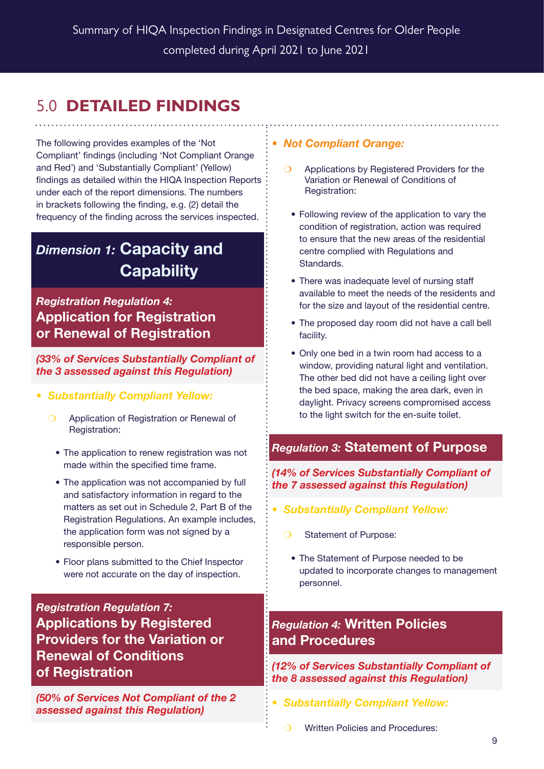# 5.0 **DETAILED FINDINGS**

The following provides examples of the 'Not Compliant' findings (including 'Not Compliant Orange and Red') and 'Substantially Compliant' (Yellow) findings as detailed within the HIQA Inspection Reports under each of the report dimensions. The numbers in brackets following the finding, e.g. (2) detail the frequency of the finding across the services inspected.

# *Dimension 1:* Capacity and **Capability**

*Registration Regulation 4:* Application for Registration or Renewal of Registration

*(33% of Services Substantially Compliant of the 3 assessed against this Regulation)*

- *• Substantially Compliant Yellow:*
	- O Application of Registration or Renewal of Registration:
		- The application to renew registration was not made within the specified time frame.
		- The application was not accompanied by full and satisfactory information in regard to the matters as set out in Schedule 2, Part B of the Registration Regulations. An example includes, the application form was not signed by a responsible person.
		- Floor plans submitted to the Chief Inspector were not accurate on the day of inspection.

*Registration Regulation 7:* Applications by Registered Providers for the Variation or Renewal of Conditions of Registration

*(50% of Services Not Compliant of the 2 assessed against this Regulation)*

#### *• Not Compliant Orange:*

◯ Applications by Registered Providers for the Variation or Renewal of Conditions of Registration:

- Following review of the application to vary the condition of registration, action was required to ensure that the new areas of the residential centre complied with Regulations and Standards.
- There was inadequate level of nursing staff available to meet the needs of the residents and for the size and layout of the residential centre.
- The proposed day room did not have a call bell facility.
- Only one bed in a twin room had access to a window, providing natural light and ventilation. The other bed did not have a ceiling light over the bed space, making the area dark, even in daylight. Privacy screens compromised access to the light switch for the en-suite toilet.

#### *Regulation 3:* Statement of Purpose

#### *(14% of Services Substantially Compliant of the 7 assessed against this Regulation)*

- *• Substantially Compliant Yellow:*
	- ❍ Statement of Purpose:
	- The Statement of Purpose needed to be updated to incorporate changes to management personnel.

#### *Regulation 4:* Written Policies and Procedures

#### *(12% of Services Substantially Compliant of the 8 assessed against this Regulation)*

- *• Substantially Compliant Yellow:*
- O Written Policies and Procedures: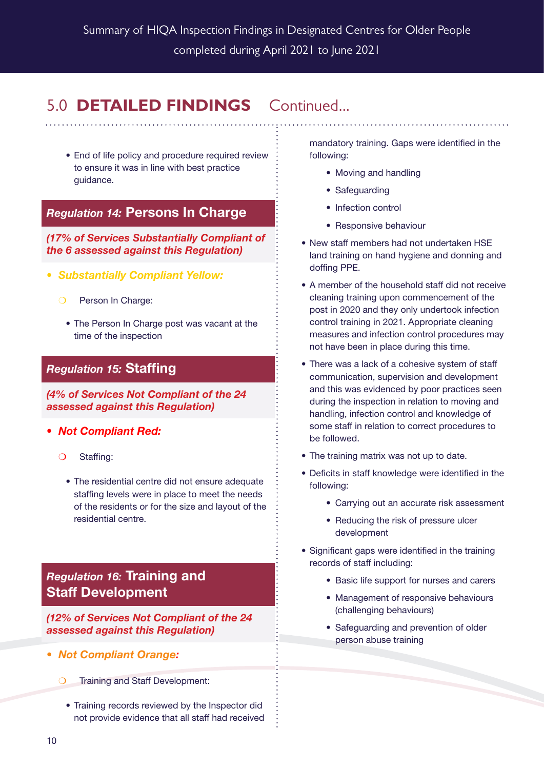• End of life policy and procedure required review to ensure it was in line with best practice guidance.

#### *Regulation 14:* Persons In Charge

*(17% of Services Substantially Compliant of the 6 assessed against this Regulation)*

- *• Substantially Compliant Yellow:*
	- O Person In Charge:
		- The Person In Charge post was vacant at the time of the inspection

#### *Regulation 15:* Staffing

*(4% of Services Not Compliant of the 24 assessed against this Regulation)*

- *• Not Compliant Red:*
	- O Staffing:
		- The residential centre did not ensure adequate staffing levels were in place to meet the needs of the residents or for the size and layout of the residential centre.

#### *Regulation 16:* Training and Staff Development

*(12% of Services Not Compliant of the 24 assessed against this Regulation)*

- *• Not Compliant Orange:*
	- O Training and Staff Development:
		- Training records reviewed by the Inspector did not provide evidence that all staff had received

mandatory training. Gaps were identified in the following:

- Moving and handling
- Safeguarding
- Infection control
- Responsive behaviour
- New staff members had not undertaken HSE land training on hand hygiene and donning and doffing PPE.
- A member of the household staff did not receive cleaning training upon commencement of the post in 2020 and they only undertook infection control training in 2021. Appropriate cleaning measures and infection control procedures may not have been in place during this time.
- There was a lack of a cohesive system of staff communication, supervision and development and this was evidenced by poor practices seen during the inspection in relation to moving and handling, infection control and knowledge of some staff in relation to correct procedures to be followed.
- The training matrix was not up to date.
- Deficits in staff knowledge were identified in the following:
	- Carrying out an accurate risk assessment
	- Reducing the risk of pressure ulcer development
- Significant gaps were identified in the training records of staff including:
	- Basic life support for nurses and carers
	- Management of responsive behaviours (challenging behaviours)
	- Safeguarding and prevention of older person abuse training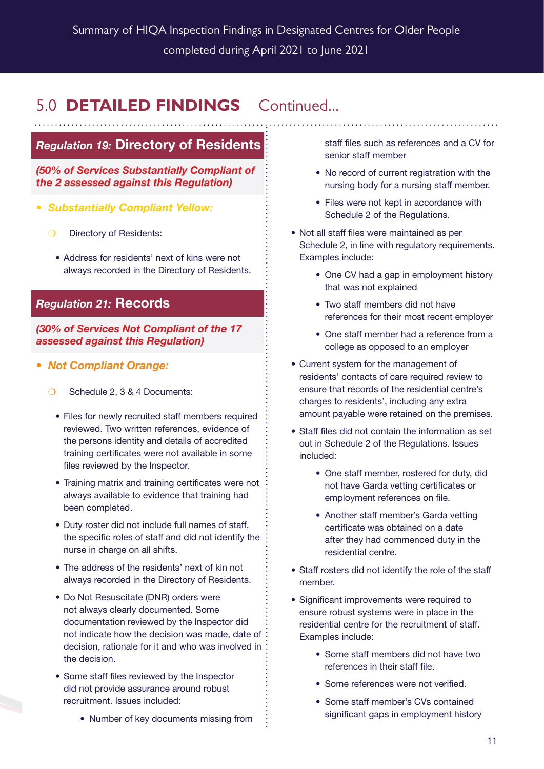#### *Regulation 19:* Directory of Residents

*(50% of Services Substantially Compliant of the 2 assessed against this Regulation)*

*• Substantially Compliant Yellow:*

- O Directory of Residents:
	- Address for residents' next of kins were not always recorded in the Directory of Residents.

#### *Regulation 21:* Records

#### *(30% of Services Not Compliant of the 17 assessed against this Regulation)*

- *• Not Compliant Orange:*
	- ❍ Schedule 2, 3 & 4 Documents:
		- Files for newly recruited staff members required reviewed. Two written references, evidence of the persons identity and details of accredited training certificates were not available in some files reviewed by the Inspector.
		- Training matrix and training certificates were not always available to evidence that training had been completed.
		- Duty roster did not include full names of staff, the specific roles of staff and did not identify the nurse in charge on all shifts.
		- The address of the residents' next of kin not always recorded in the Directory of Residents.
		- Do Not Resuscitate (DNR) orders were not always clearly documented. Some documentation reviewed by the Inspector did not indicate how the decision was made, date of decision, rationale for it and who was involved in the decision.
		- Some staff files reviewed by the Inspector did not provide assurance around robust recruitment. Issues included:
			- Number of key documents missing from

staff files such as references and a CV for senior staff member

- No record of current registration with the nursing body for a nursing staff member.
- Files were not kept in accordance with Schedule 2 of the Regulations.
- Not all staff files were maintained as per Schedule 2, in line with regulatory requirements. Examples include:
	- One CV had a gap in employment history that was not explained
	- Two staff members did not have references for their most recent employer
	- One staff member had a reference from a college as opposed to an employer
- Current system for the management of residents' contacts of care required review to ensure that records of the residential centre's charges to residents', including any extra amount payable were retained on the premises.
- Staff files did not contain the information as set out in Schedule 2 of the Regulations. Issues included:
	- One staff member, rostered for duty, did not have Garda vetting certificates or employment references on file.
	- Another staff member's Garda vetting certificate was obtained on a date after they had commenced duty in the residential centre.
- Staff rosters did not identify the role of the staff member.
- Significant improvements were required to ensure robust systems were in place in the residential centre for the recruitment of staff. Examples include:
	- Some staff members did not have two references in their staff file.
	- Some references were not verified.
	- Some staff member's CVs contained significant gaps in employment history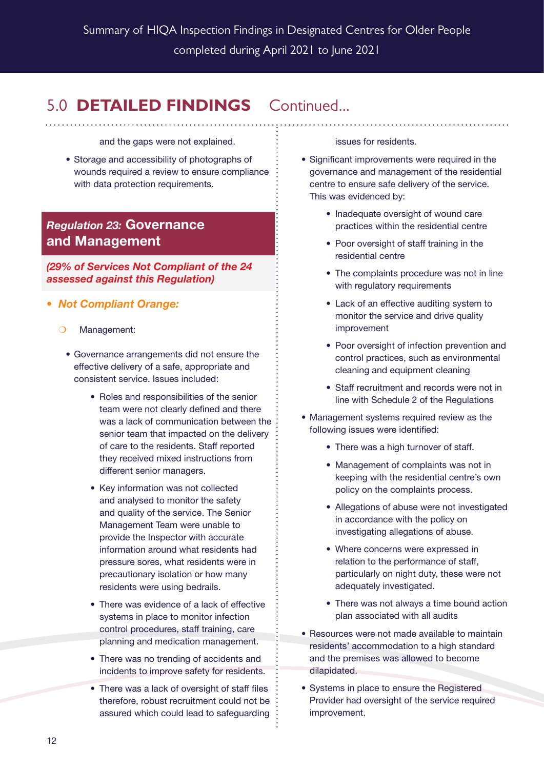and the gaps were not explained.

• Storage and accessibility of photographs of wounds required a review to ensure compliance with data protection requirements.

#### *Regulation 23:* Governance and Management

*(29% of Services Not Compliant of the 24 assessed against this Regulation)*

- *• Not Compliant Orange:*
	- O Management:
		- Governance arrangements did not ensure the effective delivery of a safe, appropriate and consistent service. Issues included:
			- Roles and responsibilities of the senior team were not clearly defined and there was a lack of communication between the senior team that impacted on the delivery of care to the residents. Staff reported they received mixed instructions from different senior managers.
			- Key information was not collected and analysed to monitor the safety and quality of the service. The Senior Management Team were unable to provide the Inspector with accurate information around what residents had pressure sores, what residents were in precautionary isolation or how many residents were using bedrails.
			- There was evidence of a lack of effective systems in place to monitor infection control procedures, staff training, care planning and medication management.
			- There was no trending of accidents and incidents to improve safety for residents.
			- There was a lack of oversight of staff files therefore, robust recruitment could not be assured which could lead to safeguarding

issues for residents.

• Significant improvements were required in the governance and management of the residential centre to ensure safe delivery of the service. This was evidenced by:

- Inadequate oversight of wound care practices within the residential centre
- Poor oversight of staff training in the residential centre
- The complaints procedure was not in line with regulatory requirements
- Lack of an effective auditing system to monitor the service and drive quality improvement
- Poor oversight of infection prevention and control practices, such as environmental cleaning and equipment cleaning
- Staff recruitment and records were not in line with Schedule 2 of the Regulations
- Management systems required review as the following issues were identified:
	- There was a high turnover of staff.
	- Management of complaints was not in keeping with the residential centre's own policy on the complaints process.
	- Allegations of abuse were not investigated in accordance with the policy on investigating allegations of abuse.
	- Where concerns were expressed in relation to the performance of staff, particularly on night duty, these were not adequately investigated.
	- There was not always a time bound action plan associated with all audits
- Resources were not made available to maintain residents' accommodation to a high standard and the premises was allowed to become dilapidated.
- Systems in place to ensure the Registered Provider had oversight of the service required improvement.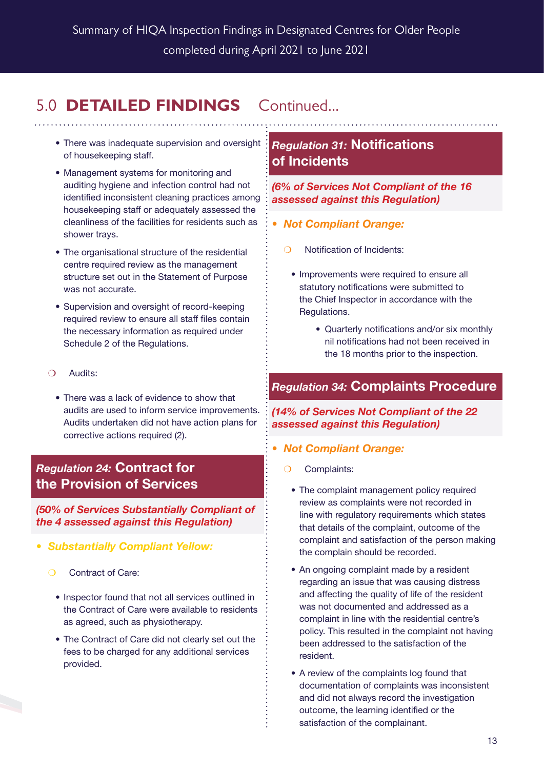- There was inadequate supervision and oversight of housekeeping staff.
- Management systems for monitoring and auditing hygiene and infection control had not identified inconsistent cleaning practices among housekeeping staff or adequately assessed the cleanliness of the facilities for residents such as shower trays.
- The organisational structure of the residential centre required review as the management structure set out in the Statement of Purpose was not accurate.
- Supervision and oversight of record-keeping required review to ensure all staff files contain the necessary information as required under Schedule 2 of the Regulations.
- ❍ Audits:
	- There was a lack of evidence to show that audits are used to inform service improvements. Audits undertaken did not have action plans for corrective actions required (2).

#### *Regulation 24:* Contract for the Provision of Services

*(50% of Services Substantially Compliant of the 4 assessed against this Regulation)*

#### *• Substantially Compliant Yellow:*

- ❍ Contract of Care:
	- Inspector found that not all services outlined in the Contract of Care were available to residents as agreed, such as physiotherapy.
	- The Contract of Care did not clearly set out the fees to be charged for any additional services provided.

#### *Regulation 31:* Notifications of Incidents

*(6% of Services Not Compliant of the 16 assessed against this Regulation)*

#### *• Not Compliant Orange:*

- O Notification of Incidents:
	- Improvements were required to ensure all statutory notifications were submitted to the Chief Inspector in accordance with the Regulations.
		- Quarterly notifications and/or six monthly nil notifications had not been received in the 18 months prior to the inspection.

#### *Regulation 34:* Complaints Procedure

*(14% of Services Not Compliant of the 22 assessed against this Regulation)*

#### *• Not Compliant Orange:*

- O Complaints:
	- The complaint management policy required review as complaints were not recorded in line with regulatory requirements which states that details of the complaint, outcome of the complaint and satisfaction of the person making the complain should be recorded.
	- An ongoing complaint made by a resident regarding an issue that was causing distress and affecting the quality of life of the resident was not documented and addressed as a complaint in line with the residential centre's policy. This resulted in the complaint not having been addressed to the satisfaction of the resident.
	- A review of the complaints log found that documentation of complaints was inconsistent and did not always record the investigation outcome, the learning identified or the satisfaction of the complainant.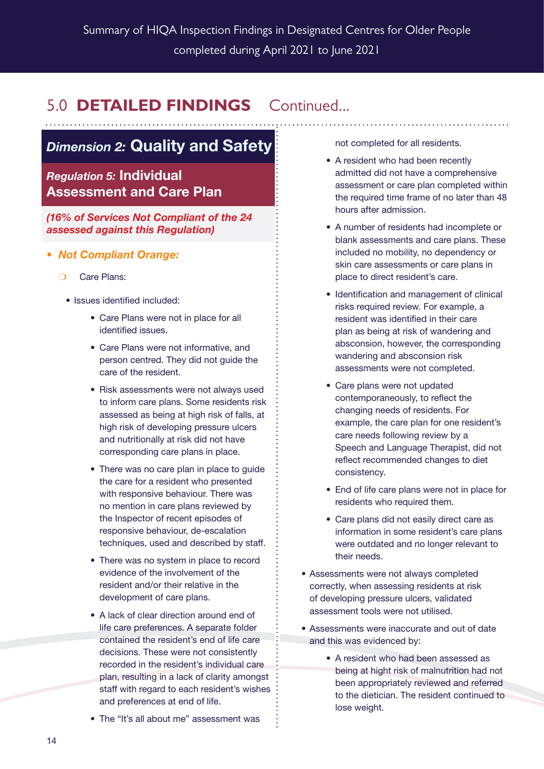### *Dimension 2:* Quality and Safety

#### *Regulation 5:* Individual Assessment and Care Plan

*(16% of Services Not Compliant of the 24 assessed against this Regulation)*

- *• Not Compliant Orange:*
	- ❍ Care Plans:
		- Issues identified included:
			- Care Plans were not in place for all identified issues.
			- Care Plans were not informative, and person centred. They did not guide the care of the resident.
			- Risk assessments were not always used to inform care plans. Some residents risk assessed as being at high risk of falls, at high risk of developing pressure ulcers and nutritionally at risk did not have corresponding care plans in place.
			- There was no care plan in place to guide the care for a resident who presented with responsive behaviour. There was no mention in care plans reviewed by the Inspector of recent episodes of responsive behaviour, de-escalation techniques, used and described by staff.
			- There was no system in place to record evidence of the involvement of the resident and/or their relative in the development of care plans.
			- A lack of clear direction around end of life care preferences. A separate folder contained the resident's end of life care decisions. These were not consistently recorded in the resident's individual care plan, resulting in a lack of clarity amongst staff with regard to each resident's wishes and preferences at end of life.
			- The "It's all about me" assessment was

not completed for all residents.

- A resident who had been recently admitted did not have a comprehensive assessment or care plan completed within the required time frame of no later than 48 hours after admission.
- A number of residents had incomplete or blank assessments and care plans. These included no mobility, no dependency or skin care assessments or care plans in place to direct resident's care.
- Identification and management of clinical risks required review. For example, a resident was identified in their care plan as being at risk of wandering and absconsion, however, the corresponding wandering and absconsion risk assessments were not completed.
- Care plans were not updated contemporaneously, to reflect the changing needs of residents. For example, the care plan for one resident's care needs following review by a Speech and Language Therapist, did not reflect recommended changes to diet consistency.
- End of life care plans were not in place for residents who required them.
- Care plans did not easily direct care as information in some resident's care plans were outdated and no longer relevant to their needs.
- Assessments were not always completed correctly, when assessing residents at risk of developing pressure ulcers, validated assessment tools were not utilised.
- Assessments were inaccurate and out of date and this was evidenced by:
	- A resident who had been assessed as being at hight risk of malnutrition had not been appropriately reviewed and referred to the dietician. The resident continued to lose weight.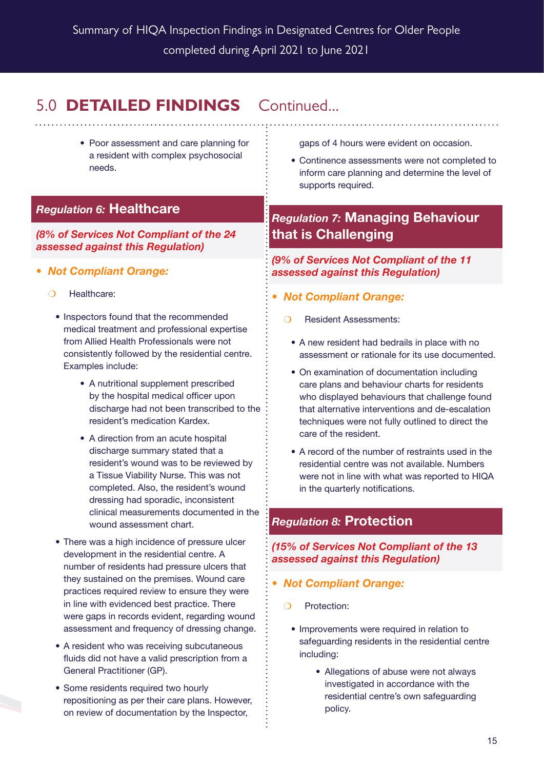• Poor assessment and care planning for a resident with complex psychosocial needs.

#### gaps of 4 hours were evident on occasion.

• Continence assessments were not completed to inform care planning and determine the level of supports required.

#### *Regulation 6:* Healthcare

#### *(8% of Services Not Compliant of the 24 assessed against this Regulation)*

#### *• Not Compliant Orange:*

- O Healthcare:
	- Inspectors found that the recommended medical treatment and professional expertise from Allied Health Professionals were not consistently followed by the residential centre. Examples include:
		- A nutritional supplement prescribed by the hospital medical officer upon discharge had not been transcribed to the resident's medication Kardex.
		- A direction from an acute hospital discharge summary stated that a resident's wound was to be reviewed by a Tissue Viability Nurse. This was not completed. Also, the resident's wound dressing had sporadic, inconsistent clinical measurements documented in the wound assessment chart.
	- There was a high incidence of pressure ulcer development in the residential centre. A number of residents had pressure ulcers that they sustained on the premises. Wound care practices required review to ensure they were in line with evidenced best practice. There were gaps in records evident, regarding wound assessment and frequency of dressing change.
	- A resident who was receiving subcutaneous fluids did not have a valid prescription from a General Practitioner (GP).
	- Some residents required two hourly repositioning as per their care plans. However, on review of documentation by the Inspector,

#### *Regulation 7:* Managing Behaviour that is Challenging

#### *(9% of Services Not Compliant of the 11 assessed against this Regulation)*

#### *• Not Compliant Orange:*

- O Resident Assessments:
	- A new resident had bedrails in place with no assessment or rationale for its use documented.
	- On examination of documentation including care plans and behaviour charts for residents who displayed behaviours that challenge found that alternative interventions and de-escalation techniques were not fully outlined to direct the care of the resident.
	- A record of the number of restraints used in the residential centre was not available. Numbers were not in line with what was reported to HIQA in the quarterly notifications.

#### *Regulation 8:* Protection

*(15% of Services Not Compliant of the 13 assessed against this Regulation)*

- *• Not Compliant Orange:*
	- O Protection:
		- Improvements were required in relation to safeguarding residents in the residential centre including:
			- Allegations of abuse were not always investigated in accordance with the residential centre's own safeguarding policy.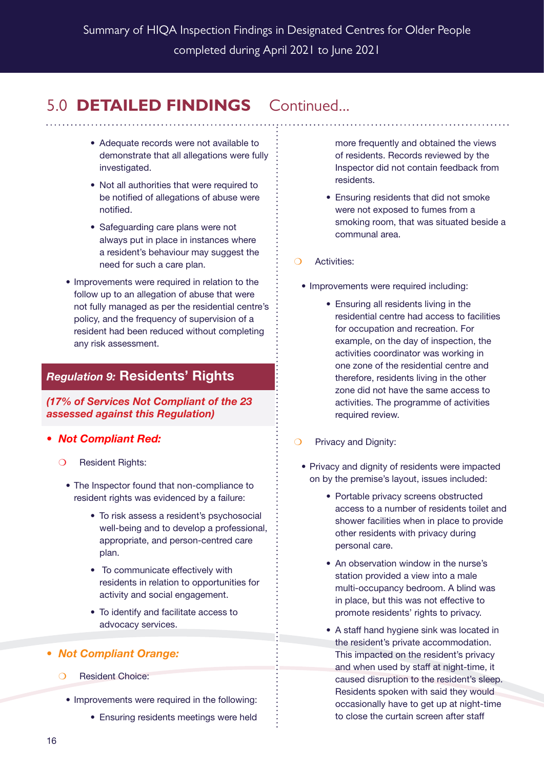- Adequate records were not available to demonstrate that all allegations were fully investigated.
- Not all authorities that were required to be notified of allegations of abuse were notified.
- Safeguarding care plans were not always put in place in instances where a resident's behaviour may suggest the need for such a care plan.
- Improvements were required in relation to the follow up to an allegation of abuse that were not fully managed as per the residential centre's policy, and the frequency of supervision of a resident had been reduced without completing any risk assessment.

#### *Regulation 9:* Residents' Rights

*(17% of Services Not Compliant of the 23 assessed against this Regulation)*

#### *• Not Compliant Red:*

- O Resident Rights:
	- The Inspector found that non-compliance to resident rights was evidenced by a failure:
		- To risk assess a resident's psychosocial well-being and to develop a professional, appropriate, and person-centred care plan.
		- To communicate effectively with residents in relation to opportunities for activity and social engagement.
		- To identify and facilitate access to advocacy services.

#### *• Not Compliant Orange:*

- Resident Choice:
	- Improvements were required in the following:
		- Ensuring residents meetings were held

more frequently and obtained the views of residents. Records reviewed by the Inspector did not contain feedback from residents.

- Ensuring residents that did not smoke were not exposed to fumes from a smoking room, that was situated beside a communal area.
- O Activities:
	- Improvements were required including:
		- Ensuring all residents living in the residential centre had access to facilities for occupation and recreation. For example, on the day of inspection, the activities coordinator was working in one zone of the residential centre and therefore, residents living in the other zone did not have the same access to activities. The programme of activities required review.
- O Privacy and Dignity:
	- Privacy and dignity of residents were impacted on by the premise's layout, issues included:
		- Portable privacy screens obstructed access to a number of residents toilet and shower facilities when in place to provide other residents with privacy during personal care.
		- An observation window in the nurse's station provided a view into a male multi-occupancy bedroom. A blind was in place, but this was not effective to promote residents' rights to privacy.
		- A staff hand hygiene sink was located in the resident's private accommodation. This impacted on the resident's privacy and when used by staff at night-time, it caused disruption to the resident's sleep. Residents spoken with said they would occasionally have to get up at night-time to close the curtain screen after staff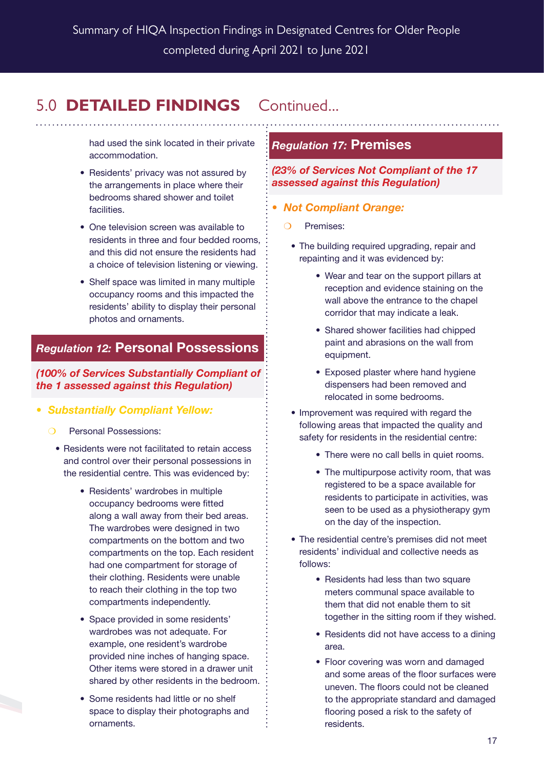had used the sink located in their private accommodation.

- Residents' privacy was not assured by the arrangements in place where their bedrooms shared shower and toilet facilities.
- One television screen was available to residents in three and four bedded rooms, and this did not ensure the residents had a choice of television listening or viewing.
- Shelf space was limited in many multiple occupancy rooms and this impacted the residents' ability to display their personal photos and ornaments.

#### *Regulation 12:* Personal Possessions

*(100% of Services Substantially Compliant of the 1 assessed against this Regulation)*

#### *• Substantially Compliant Yellow:*

- ❍ Personal Possessions:
- Residents were not facilitated to retain access and control over their personal possessions in the residential centre. This was evidenced by:
	- Residents' wardrobes in multiple occupancy bedrooms were fitted along a wall away from their bed areas. The wardrobes were designed in two compartments on the bottom and two compartments on the top. Each resident had one compartment for storage of their clothing. Residents were unable to reach their clothing in the top two compartments independently.
	- Space provided in some residents' wardrobes was not adequate. For example, one resident's wardrobe provided nine inches of hanging space. Other items were stored in a drawer unit shared by other residents in the bedroom.
	- Some residents had little or no shelf space to display their photographs and ornaments.

#### *Regulation 17:* Premises

#### *(23% of Services Not Compliant of the 17 assessed against this Regulation)*

#### *• Not Compliant Orange:*

- O Premises:
	- The building required upgrading, repair and repainting and it was evidenced by:
		- Wear and tear on the support pillars at reception and evidence staining on the wall above the entrance to the chapel corridor that may indicate a leak.
		- Shared shower facilities had chipped paint and abrasions on the wall from equipment.
		- Exposed plaster where hand hygiene dispensers had been removed and relocated in some bedrooms.
	- Improvement was required with regard the following areas that impacted the quality and safety for residents in the residential centre:
		- There were no call bells in quiet rooms.
		- The multipurpose activity room, that was registered to be a space available for residents to participate in activities, was seen to be used as a physiotherapy gym on the day of the inspection.
	- The residential centre's premises did not meet residents' individual and collective needs as follows:
		- Residents had less than two square meters communal space available to them that did not enable them to sit together in the sitting room if they wished.
		- Residents did not have access to a dining area.
		- Floor covering was worn and damaged and some areas of the floor surfaces were uneven. The floors could not be cleaned to the appropriate standard and damaged flooring posed a risk to the safety of residents.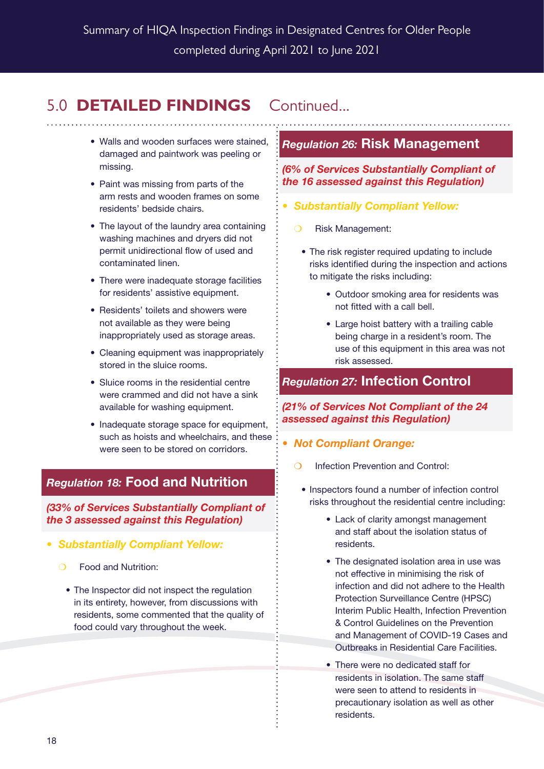- Walls and wooden surfaces were stained, damaged and paintwork was peeling or missing.
- Paint was missing from parts of the arm rests and wooden frames on some residents' bedside chairs.
- The layout of the laundry area containing washing machines and dryers did not permit unidirectional flow of used and contaminated linen.
- There were inadequate storage facilities for residents' assistive equipment.
- Residents' toilets and showers were not available as they were being inappropriately used as storage areas.
- Cleaning equipment was inappropriately stored in the sluice rooms.
- Sluice rooms in the residential centre were crammed and did not have a sink available for washing equipment.
- Inadequate storage space for equipment, such as hoists and wheelchairs, and these were seen to be stored on corridors.

#### *Regulation 18:* Food and Nutrition

*(33% of Services Substantially Compliant of the 3 assessed against this Regulation)*

#### *• Substantially Compliant Yellow:*

- ❍ Food and Nutrition:
	- The Inspector did not inspect the regulation in its entirety, however, from discussions with residents, some commented that the quality of food could vary throughout the week.

#### *Regulation 26:* Risk Management

#### *(6% of Services Substantially Compliant of the 16 assessed against this Regulation)*

- *• Substantially Compliant Yellow:*
	- O Risk Management:
		- The risk register required updating to include risks identified during the inspection and actions to mitigate the risks including:
			- Outdoor smoking area for residents was not fitted with a call bell.
			- Large hoist battery with a trailing cable being charge in a resident's room. The use of this equipment in this area was not risk assessed.

#### *Regulation 27:* Infection Control

#### *(21% of Services Not Compliant of the 24 assessed against this Regulation)*

#### *• Not Compliant Orange:*

- O Infection Prevention and Control:
	- Inspectors found a number of infection control risks throughout the residential centre including:
		- Lack of clarity amongst management and staff about the isolation status of residents.
		- The designated isolation area in use was not effective in minimising the risk of infection and did not adhere to the Health Protection Surveillance Centre (HPSC) Interim Public Health, Infection Prevention & Control Guidelines on the Prevention and Management of COVID-19 Cases and Outbreaks in Residential Care Facilities.
		- There were no dedicated staff for residents in isolation. The same staff were seen to attend to residents in precautionary isolation as well as other residents.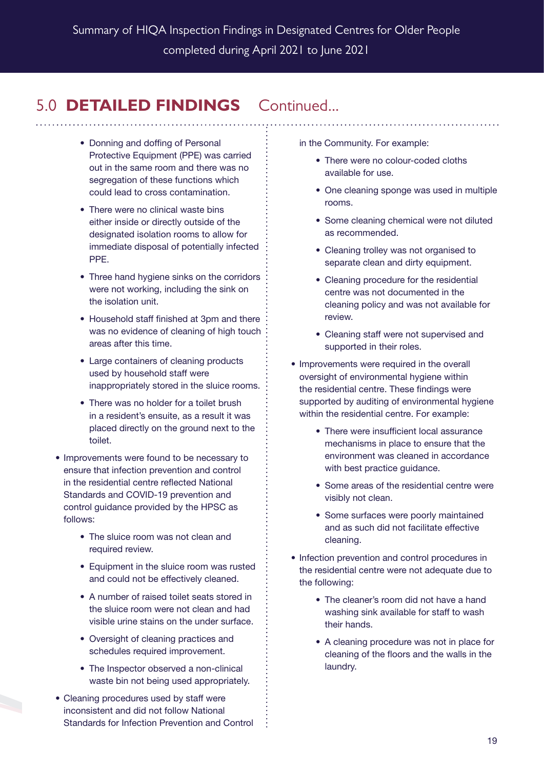- Donning and doffing of Personal Protective Equipment (PPE) was carried out in the same room and there was no segregation of these functions which could lead to cross contamination.
- There were no clinical waste bins either inside or directly outside of the designated isolation rooms to allow for immediate disposal of potentially infected PPE.
- Three hand hygiene sinks on the corridors were not working, including the sink on the isolation unit.
- Household staff finished at 3pm and there was no evidence of cleaning of high touch areas after this time.
- Large containers of cleaning products used by household staff were inappropriately stored in the sluice rooms.
- There was no holder for a toilet brush in a resident's ensuite, as a result it was placed directly on the ground next to the toilet.
- Improvements were found to be necessary to ensure that infection prevention and control in the residential centre reflected National Standards and COVID-19 prevention and control guidance provided by the HPSC as follows:
	- The sluice room was not clean and required review.
	- Equipment in the sluice room was rusted and could not be effectively cleaned.
	- A number of raised toilet seats stored in the sluice room were not clean and had visible urine stains on the under surface.
	- Oversight of cleaning practices and schedules required improvement.
	- The Inspector observed a non-clinical waste bin not being used appropriately.
- Cleaning procedures used by staff were inconsistent and did not follow National Standards for Infection Prevention and Control

in the Community. For example:

- There were no colour-coded cloths available for use.
- One cleaning sponge was used in multiple rooms.

- Some cleaning chemical were not diluted as recommended.
- Cleaning trolley was not organised to separate clean and dirty equipment.
- Cleaning procedure for the residential centre was not documented in the cleaning policy and was not available for review.
- Cleaning staff were not supervised and supported in their roles.
- Improvements were required in the overall oversight of environmental hygiene within the residential centre. These findings were supported by auditing of environmental hygiene within the residential centre. For example:
	- There were insufficient local assurance mechanisms in place to ensure that the environment was cleaned in accordance with best practice guidance.
	- Some areas of the residential centre were visibly not clean.
	- Some surfaces were poorly maintained and as such did not facilitate effective cleaning.
- Infection prevention and control procedures in the residential centre were not adequate due to the following:
	- The cleaner's room did not have a hand washing sink available for staff to wash their hands.
	- A cleaning procedure was not in place for cleaning of the floors and the walls in the laundry.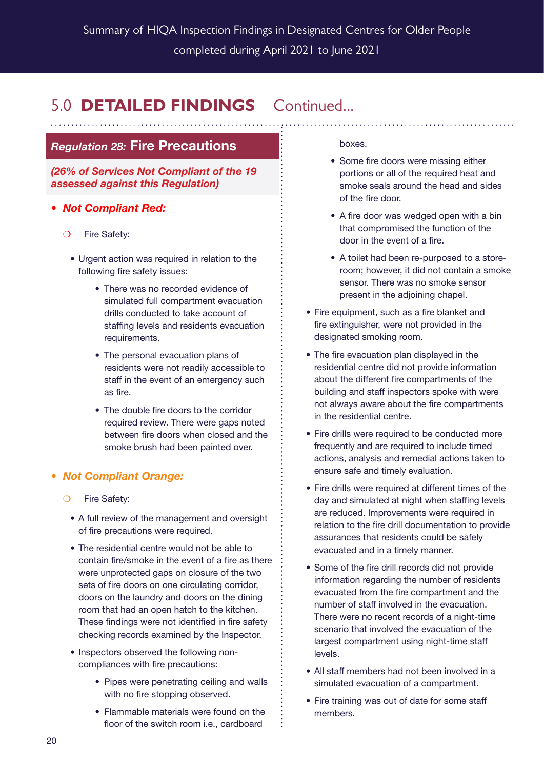#### *Regulation 28:* Fire Precautions

*(26% of Services Not Compliant of the 19 assessed against this Regulation)*

- *• Not Compliant Red:*
	- O Fire Safety:
		- Urgent action was required in relation to the following fire safety issues:
			- There was no recorded evidence of simulated full compartment evacuation drills conducted to take account of staffing levels and residents evacuation requirements.
			- The personal evacuation plans of residents were not readily accessible to staff in the event of an emergency such as fire.
			- The double fire doors to the corridor required review. There were gaps noted between fire doors when closed and the smoke brush had been painted over.

#### *• Not Compliant Orange:*

- O Fire Safety:
	- A full review of the management and oversight of fire precautions were required.
	- The residential centre would not be able to contain fire/smoke in the event of a fire as there were unprotected gaps on closure of the two sets of fire doors on one circulating corridor, doors on the laundry and doors on the dining room that had an open hatch to the kitchen. These findings were not identified in fire safety checking records examined by the Inspector.
	- Inspectors observed the following noncompliances with fire precautions:
		- Pipes were penetrating ceiling and walls with no fire stopping observed.
		- Flammable materials were found on the floor of the switch room i.e., cardboard

#### boxes.

- Some fire doors were missing either portions or all of the required heat and smoke seals around the head and sides of the fire door.
- A fire door was wedged open with a bin that compromised the function of the door in the event of a fire.
- A toilet had been re-purposed to a storeroom; however, it did not contain a smoke sensor. There was no smoke sensor present in the adjoining chapel.
- Fire equipment, such as a fire blanket and fire extinguisher, were not provided in the designated smoking room.
- The fire evacuation plan displayed in the residential centre did not provide information about the different fire compartments of the building and staff inspectors spoke with were not always aware about the fire compartments in the residential centre.
- Fire drills were required to be conducted more frequently and are required to include timed actions, analysis and remedial actions taken to ensure safe and timely evaluation.
- Fire drills were required at different times of the day and simulated at night when staffing levels are reduced. Improvements were required in relation to the fire drill documentation to provide assurances that residents could be safely evacuated and in a timely manner.
- Some of the fire drill records did not provide information regarding the number of residents evacuated from the fire compartment and the number of staff involved in the evacuation. There were no recent records of a night-time scenario that involved the evacuation of the largest compartment using night-time staff levels.
- All staff members had not been involved in a simulated evacuation of a compartment.
- Fire training was out of date for some staff members.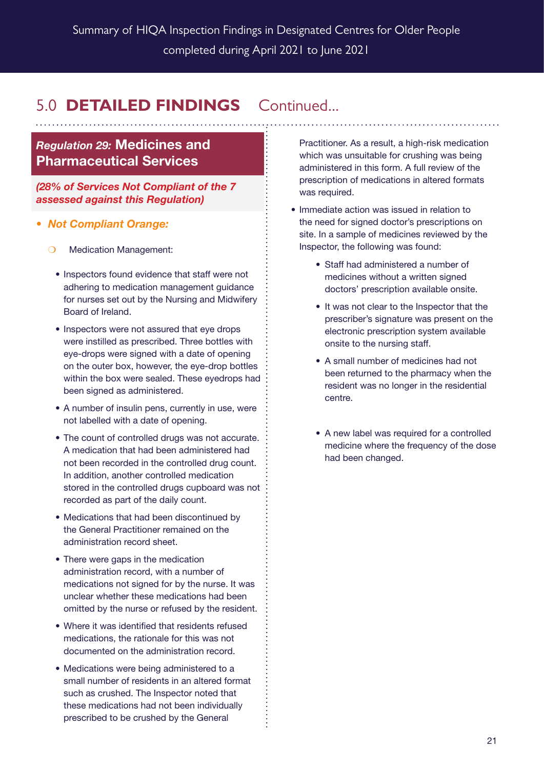#### *Regulation 29:* Medicines and Pharmaceutical Services

*(28% of Services Not Compliant of the 7 assessed against this Regulation)*

- *• Not Compliant Orange:*
	- O Medication Management:
		- Inspectors found evidence that staff were not adhering to medication management guidance for nurses set out by the Nursing and Midwifery Board of Ireland.
		- Inspectors were not assured that eye drops were instilled as prescribed. Three bottles with eye-drops were signed with a date of opening on the outer box, however, the eye-drop bottles within the box were sealed. These eyedrops had been signed as administered.
		- A number of insulin pens, currently in use, were not labelled with a date of opening.
		- The count of controlled drugs was not accurate. A medication that had been administered had not been recorded in the controlled drug count. In addition, another controlled medication stored in the controlled drugs cupboard was not recorded as part of the daily count.
		- Medications that had been discontinued by the General Practitioner remained on the administration record sheet.
		- There were gaps in the medication administration record, with a number of medications not signed for by the nurse. It was unclear whether these medications had been omitted by the nurse or refused by the resident.
		- Where it was identified that residents refused medications, the rationale for this was not documented on the administration record.
		- Medications were being administered to a small number of residents in an altered format such as crushed. The Inspector noted that these medications had not been individually prescribed to be crushed by the General

Practitioner. As a result, a high-risk medication which was unsuitable for crushing was being administered in this form. A full review of the prescription of medications in altered formats was required.

- Immediate action was issued in relation to the need for signed doctor's prescriptions on site. In a sample of medicines reviewed by the Inspector, the following was found:
	- Staff had administered a number of medicines without a written signed doctors' prescription available onsite.
	- It was not clear to the Inspector that the prescriber's signature was present on the electronic prescription system available onsite to the nursing staff.
	- A small number of medicines had not been returned to the pharmacy when the resident was no longer in the residential centre.
	- A new label was required for a controlled medicine where the frequency of the dose had been changed.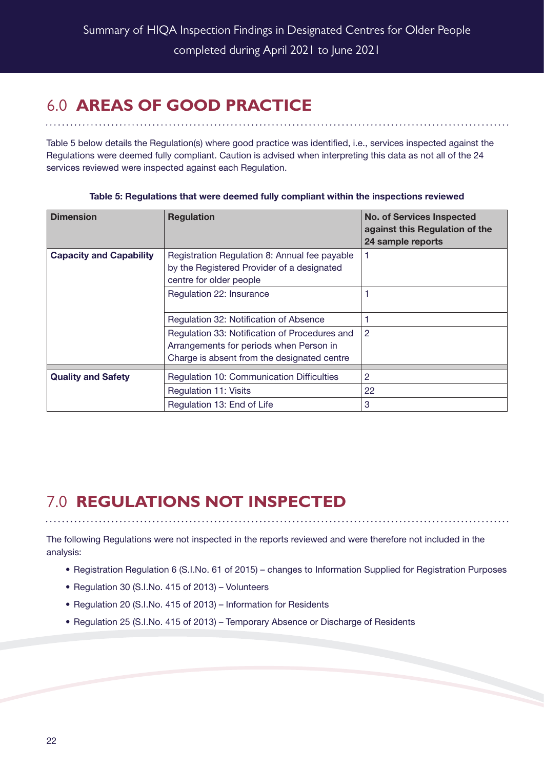# 6.0 **AREAS OF GOOD PRACTICE**

Table 5 below details the Regulation(s) where good practice was identified, i.e., services inspected against the Regulations were deemed fully compliant. Caution is advised when interpreting this data as not all of the 24 services reviewed were inspected against each Regulation.

| <b>Dimension</b>               | <b>Regulation</b>                                                                                                                       | <b>No. of Services Inspected</b><br>against this Regulation of the<br>24 sample reports |
|--------------------------------|-----------------------------------------------------------------------------------------------------------------------------------------|-----------------------------------------------------------------------------------------|
| <b>Capacity and Capability</b> | Registration Regulation 8: Annual fee payable<br>by the Registered Provider of a designated<br>centre for older people                  |                                                                                         |
|                                | Regulation 22: Insurance                                                                                                                |                                                                                         |
|                                | Regulation 32: Notification of Absence                                                                                                  |                                                                                         |
|                                | Regulation 33: Notification of Procedures and<br>Arrangements for periods when Person in<br>Charge is absent from the designated centre | $\overline{2}$                                                                          |
|                                |                                                                                                                                         |                                                                                         |
| <b>Quality and Safety</b>      | Regulation 10: Communication Difficulties                                                                                               | $\overline{2}$                                                                          |
|                                | <b>Regulation 11: Visits</b>                                                                                                            | 22                                                                                      |
|                                | Regulation 13: End of Life                                                                                                              | 3                                                                                       |

Table 5: Regulations that were deemed fully compliant within the inspections reviewed

# 7.0 **REGULATIONS NOT INSPECTED**

The following Regulations were not inspected in the reports reviewed and were therefore not included in the analysis:

- Registration Regulation 6 (S.I.No. 61 of 2015) changes to Information Supplied for Registration Purposes
- Regulation 30 (S.I.No. 415 of 2013) Volunteers
- Regulation 20 (S.I.No. 415 of 2013) Information for Residents
- Regulation 25 (S.I.No. 415 of 2013) Temporary Absence or Discharge of Residents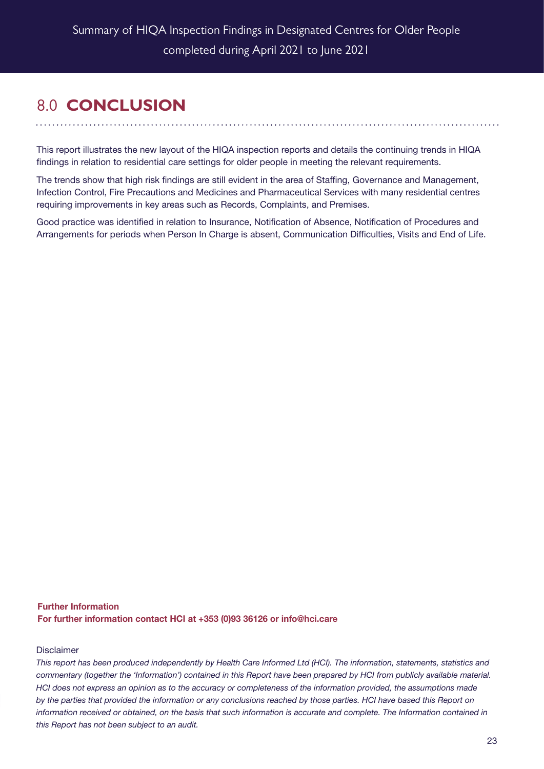### 8.0 **CONCLUSION**

This report illustrates the new layout of the HIQA inspection reports and details the continuing trends in HIQA findings in relation to residential care settings for older people in meeting the relevant requirements.

The trends show that high risk findings are still evident in the area of Staffing, Governance and Management, Infection Control, Fire Precautions and Medicines and Pharmaceutical Services with many residential centres requiring improvements in key areas such as Records, Complaints, and Premises.

Good practice was identified in relation to Insurance, Notification of Absence, Notification of Procedures and Arrangements for periods when Person In Charge is absent, Communication Difficulties, Visits and End of Life.

#### Further Information For further information contact HCI at +353 (0)93 36126 or info@hci.care

#### Disclaimer

*This report has been produced independently by Health Care Informed Ltd (HCI). The information, statements, statistics and commentary (together the 'Information') contained in this Report have been prepared by HCI from publicly available material. HCI does not express an opinion as to the accuracy or completeness of the information provided, the assumptions made by the parties that provided the information or any conclusions reached by those parties. HCI have based this Report on*  information received or obtained, on the basis that such information is accurate and complete. The Information contained in *this Report has not been subject to an audit.*